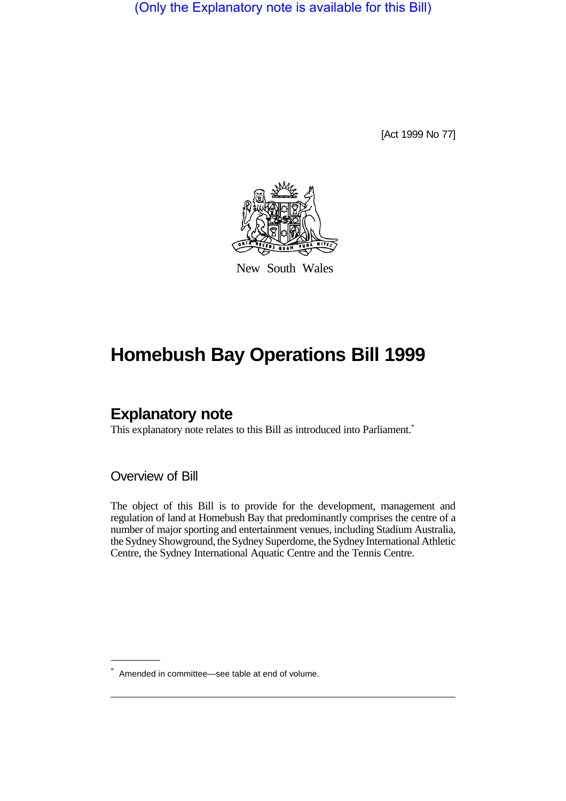(Only the Explanatory note is available for this Bill)

[Act 1999 No 77]



New South Wales

# **Homebush Bay Operations Bill 1999**

# **Explanatory note**

This explanatory note relates to this Bill as introduced into Parliament.<sup>\*</sup>

Overview of Bill

The object of this Bill is to provide for the development, management and regulation of land at Homebush Bay that predominantly comprises the centre of a number of major sporting and entertainment venues, including Stadium Australia, the Sydney Showground, the Sydney Superdome, the Sydney International Athletic Centre, the Sydney International Aquatic Centre and the Tennis Centre.

<sup>\*</sup> Amended in committee—see table at end of volume.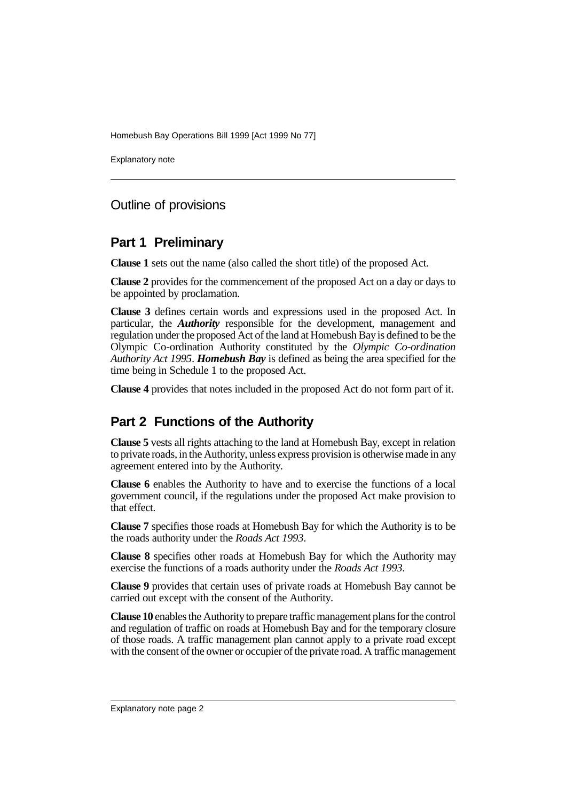Explanatory note

### Outline of provisions

### **Part 1 Preliminary**

**Clause 1** sets out the name (also called the short title) of the proposed Act.

**Clause 2** provides for the commencement of the proposed Act on a day or days to be appointed by proclamation.

**Clause 3** defines certain words and expressions used in the proposed Act. In particular, the *Authority* responsible for the development, management and regulation under the proposed Act of the land at Homebush Bay is defined to be the Olympic Co-ordination Authority constituted by the *Olympic Co-ordination Authority Act 1995*. *Homebush Bay* is defined as being the area specified for the time being in Schedule 1 to the proposed Act.

**Clause 4** provides that notes included in the proposed Act do not form part of it.

# **Part 2 Functions of the Authority**

**Clause 5** vests all rights attaching to the land at Homebush Bay, except in relation to private roads, in the Authority, unless express provision is otherwise made in any agreement entered into by the Authority.

**Clause 6** enables the Authority to have and to exercise the functions of a local government council, if the regulations under the proposed Act make provision to that effect.

**Clause 7** specifies those roads at Homebush Bay for which the Authority is to be the roads authority under the *Roads Act 1993*.

**Clause 8** specifies other roads at Homebush Bay for which the Authority may exercise the functions of a roads authority under the *Roads Act 1993*.

**Clause 9** provides that certain uses of private roads at Homebush Bay cannot be carried out except with the consent of the Authority.

**Clause 10** enables the Authority to prepare traffic management plans for the control and regulation of traffic on roads at Homebush Bay and for the temporary closure of those roads. A traffic management plan cannot apply to a private road except with the consent of the owner or occupier of the private road. A traffic management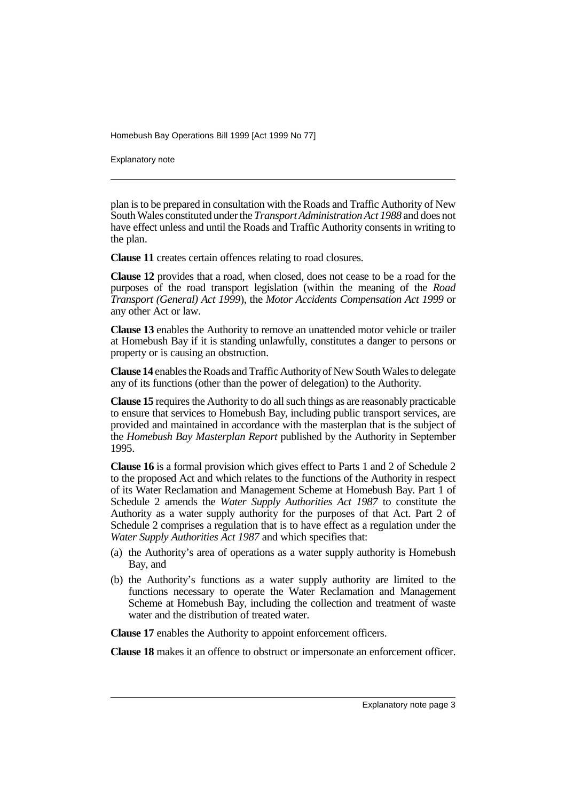Explanatory note

plan is to be prepared in consultation with the Roads and Traffic Authority of New South Wales constituted under the *Transport Administration Act 1988* and does not have effect unless and until the Roads and Traffic Authority consents in writing to the plan.

**Clause 11** creates certain offences relating to road closures.

**Clause 12** provides that a road, when closed, does not cease to be a road for the purposes of the road transport legislation (within the meaning of the *Road Transport (General) Act 1999*), the *Motor Accidents Compensation Act 1999* or any other Act or law.

**Clause 13** enables the Authority to remove an unattended motor vehicle or trailer at Homebush Bay if it is standing unlawfully, constitutes a danger to persons or property or is causing an obstruction.

**Clause 14** enables the Roads and Traffic Authority of New South Wales to delegate any of its functions (other than the power of delegation) to the Authority.

**Clause 15** requires the Authority to do all such things as are reasonably practicable to ensure that services to Homebush Bay, including public transport services, are provided and maintained in accordance with the masterplan that is the subject of the *Homebush Bay Masterplan Report* published by the Authority in September 1995.

**Clause 16** is a formal provision which gives effect to Parts 1 and 2 of Schedule 2 to the proposed Act and which relates to the functions of the Authority in respect of its Water Reclamation and Management Scheme at Homebush Bay. Part 1 of Schedule 2 amends the *Water Supply Authorities Act 1987* to constitute the Authority as a water supply authority for the purposes of that Act. Part 2 of Schedule 2 comprises a regulation that is to have effect as a regulation under the *Water Supply Authorities Act 1987* and which specifies that:

- (a) the Authority's area of operations as a water supply authority is Homebush Bay, and
- (b) the Authority's functions as a water supply authority are limited to the functions necessary to operate the Water Reclamation and Management Scheme at Homebush Bay, including the collection and treatment of waste water and the distribution of treated water.

**Clause 17** enables the Authority to appoint enforcement officers.

**Clause 18** makes it an offence to obstruct or impersonate an enforcement officer.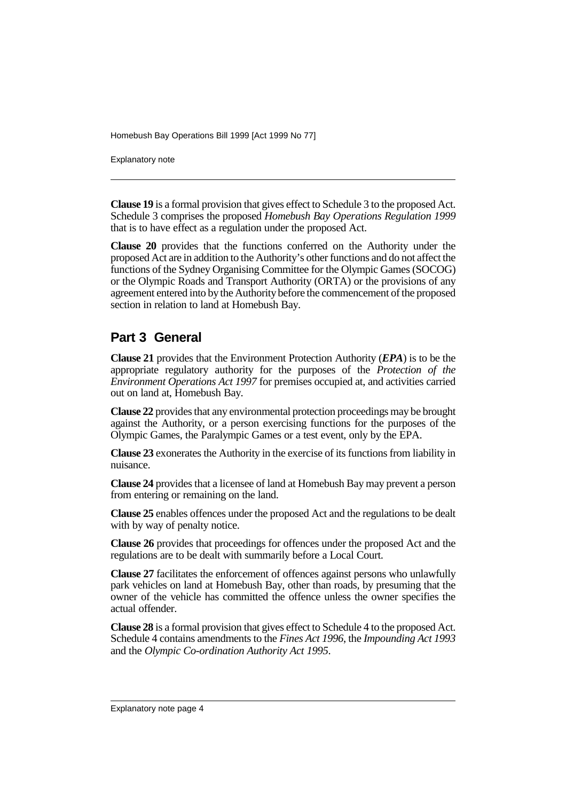Explanatory note

**Clause 19** is a formal provision that gives effect to Schedule 3 to the proposed Act. Schedule 3 comprises the proposed *Homebush Bay Operations Regulation 1999* that is to have effect as a regulation under the proposed Act.

**Clause 20** provides that the functions conferred on the Authority under the proposed Act are in addition to the Authority's other functions and do not affect the functions of the Sydney Organising Committee for the Olympic Games (SOCOG) or the Olympic Roads and Transport Authority (ORTA) or the provisions of any agreement entered into by the Authority before the commencement of the proposed section in relation to land at Homebush Bay.

### **Part 3 General**

**Clause 21** provides that the Environment Protection Authority (*EPA*) is to be the appropriate regulatory authority for the purposes of the *Protection of the Environment Operations Act 1997* for premises occupied at, and activities carried out on land at, Homebush Bay.

**Clause 22** provides that any environmental protection proceedings may be brought against the Authority, or a person exercising functions for the purposes of the Olympic Games, the Paralympic Games or a test event, only by the EPA.

**Clause 23** exonerates the Authority in the exercise of its functions from liability in nuisance.

**Clause 24** provides that a licensee of land at Homebush Bay may prevent a person from entering or remaining on the land.

**Clause 25** enables offences under the proposed Act and the regulations to be dealt with by way of penalty notice.

**Clause 26** provides that proceedings for offences under the proposed Act and the regulations are to be dealt with summarily before a Local Court.

**Clause 27** facilitates the enforcement of offences against persons who unlawfully park vehicles on land at Homebush Bay, other than roads, by presuming that the owner of the vehicle has committed the offence unless the owner specifies the actual offender.

**Clause 28** is a formal provision that gives effect to Schedule 4 to the proposed Act. Schedule 4 contains amendments to the *Fines Act 1996*, the *Impounding Act 1993* and the *Olympic Co-ordination Authority Act 1995*.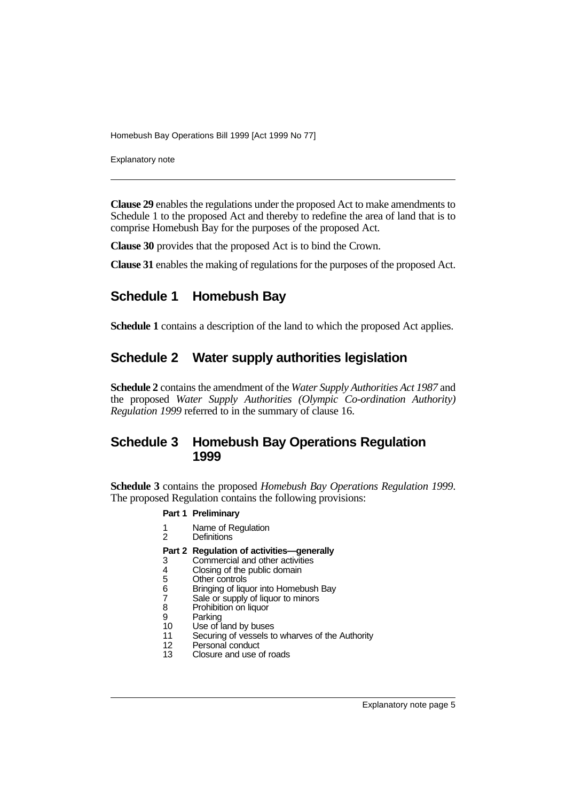Explanatory note

**Clause 29** enables the regulations under the proposed Act to make amendments to Schedule 1 to the proposed Act and thereby to redefine the area of land that is to comprise Homebush Bay for the purposes of the proposed Act.

**Clause 30** provides that the proposed Act is to bind the Crown.

**Clause 31** enables the making of regulations for the purposes of the proposed Act.

# **Schedule 1 Homebush Bay**

**Schedule 1** contains a description of the land to which the proposed Act applies.

### **Schedule 2 Water supply authorities legislation**

**Schedule 2** contains the amendment of the *Water Supply Authorities Act 1987* and the proposed *Water Supply Authorities (Olympic Co-ordination Authority) Regulation 1999* referred to in the summary of clause 16.

### **Schedule 3 Homebush Bay Operations Regulation 1999**

**Schedule 3** contains the proposed *Homebush Bay Operations Regulation 1999*. The proposed Regulation contains the following provisions:

#### **Part 1 Preliminary**

- 1 Name of Regulation<br>2 Definitions
- **Definitions**

#### **Part 2 Regulation of activities—generally**

- 3 Commercial and other activities<br>4 Closing of the public domain
- 
- Other controls
- 4 Closing of the public domain<br>5 Other controls<br>6 Bringing of liquor into Homeb<br>7 Sale or supply of liquor to min 6 Bringing of liquor into Homebush Bay
- 7 Sale or supply of liquor to minors<br>8 Prohibition on liquor
- 8 Prohibition on liquor<br>9 Parking
- **Parking**
- 10 Use of land by buses<br>11 Securing of vessels to Securing of vessels to wharves of the Authority
- 
- 12 Personal conduct<br>13 Closure and use of Closure and use of roads